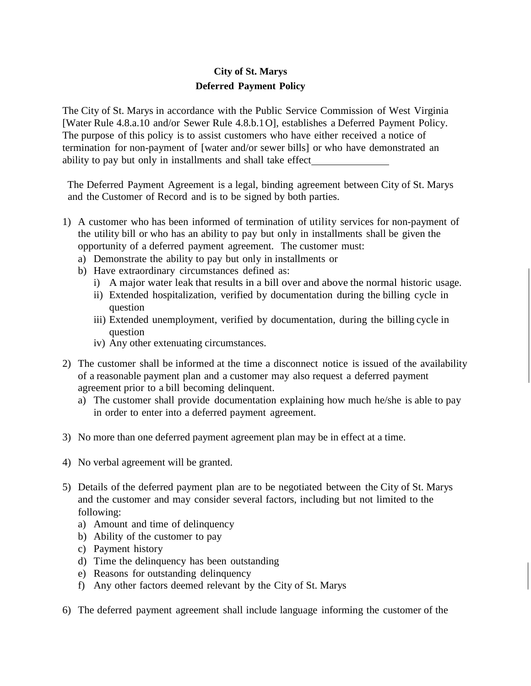## **City of St. Marys Deferred Payment Policy**

The City of St. Marys in accordance with the Public Service Commission of West Virginia [Water Rule 4.8.a.10 and/or Sewer Rule 4.8.b.1 O], establishes a Deferred Payment Policy. The purpose of this policy is to assist customers who have either received a notice of termination for non-payment of [water and/or sewer bills] or who have demonstrated an ability to pay but only in installments and shall take effect

The Deferred Payment Agreement is a legal, binding agreement between City of St. Marys and the Customer of Record and is to be signed by both parties.

- 1) A customer who has been informed of termination of utility services for non-payment of the utility bill or who has an ability to pay but only in installments shall be given the opportunity of a deferred payment agreement. The customer must:
	- a) Demonstrate the ability to pay but only in installments or
	- b) Have extraordinary circumstances defined as:
		- i) A major water leak that results in a bill over and above the normal historic usage.
		- ii) Extended hospitalization, verified by documentation during the billing cycle in question
		- iii) Extended unemployment, verified by documentation, during the billing cycle in question
		- iv) Any other extenuating circumstances.
- 2) The customer shall be informed at the time a disconnect notice is issued of the availability of a reasonable payment plan and a customer may also request a deferred payment agreement prior to a bill becoming delinquent.
	- a) The customer shall provide documentation explaining how much he/she is able to pay in order to enter into a deferred payment agreement.
- 3) No more than one deferred payment agreement plan may be in effect at a time.
- 4) No verbal agreement will be granted.
- 5) Details of the deferred payment plan are to be negotiated between the City of St. Marys and the customer and may consider several factors, including but not limited to the following:
	- a) Amount and time of delinquency
	- b) Ability of the customer to pay
	- c) Payment history
	- d) Time the delinquency has been outstanding
	- e) Reasons for outstanding delinquency
	- f) Any other factors deemed relevant by the City of St. Marys
- 6) The deferred payment agreement shall include language informing the customer of the